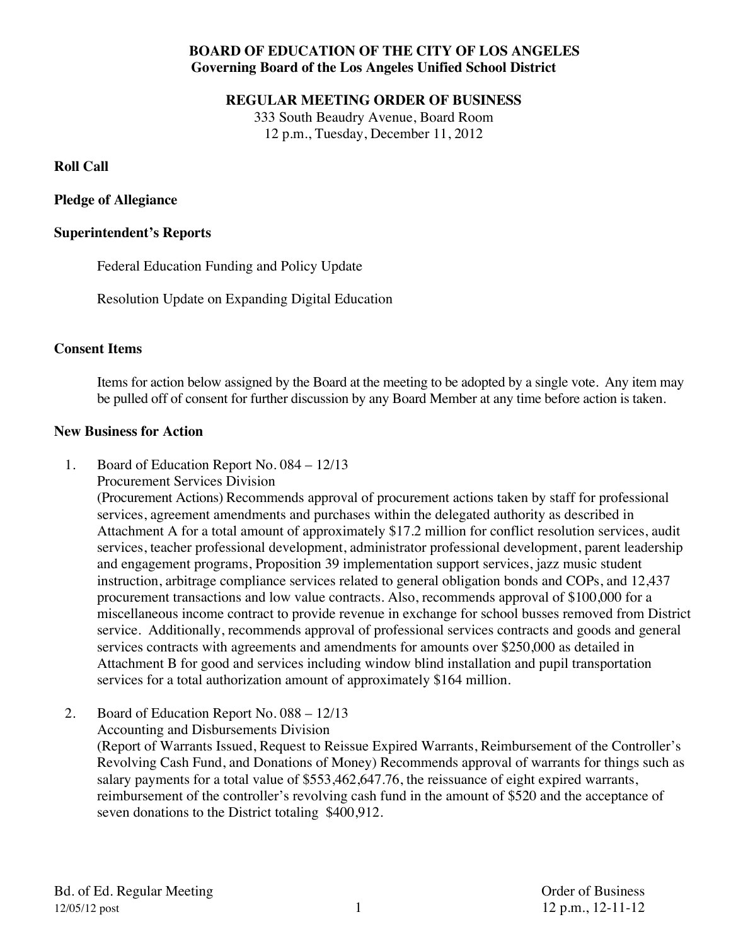# **BOARD OF EDUCATION OF THE CITY OF LOS ANGELES Governing Board of the Los Angeles Unified School District**

#### **REGULAR MEETING ORDER OF BUSINESS**

333 South Beaudry Avenue, Board Room 12 p.m., Tuesday, December 11, 2012

## **Roll Call**

# **Pledge of Allegiance**

# **Superintendent's Reports**

Federal Education Funding and Policy Update

Resolution Update on Expanding Digital Education

# **Consent Items**

Items for action below assigned by the Board at the meeting to be adopted by a single vote. Any item may be pulled off of consent for further discussion by any Board Member at any time before action is taken.

## **New Business for Action**

- 1. Board of Education Report No. 084 12/13
	- Procurement Services Division

(Procurement Actions) Recommends approval of procurement actions taken by staff for professional services, agreement amendments and purchases within the delegated authority as described in Attachment A for a total amount of approximately \$17.2 million for conflict resolution services, audit services, teacher professional development, administrator professional development, parent leadership and engagement programs, Proposition 39 implementation support services, jazz music student instruction, arbitrage compliance services related to general obligation bonds and COPs, and 12,437 procurement transactions and low value contracts. Also, recommends approval of \$100,000 for a miscellaneous income contract to provide revenue in exchange for school busses removed from District service. Additionally, recommends approval of professional services contracts and goods and general services contracts with agreements and amendments for amounts over \$250,000 as detailed in Attachment B for good and services including window blind installation and pupil transportation services for a total authorization amount of approximately \$164 million.

2. Board of Education Report No. 088 – 12/13

Accounting and Disbursements Division (Report of Warrants Issued, Request to Reissue Expired Warrants, Reimbursement of the Controller's Revolving Cash Fund, and Donations of Money) Recommends approval of warrants for things such as salary payments for a total value of \$553,462,647.76, the reissuance of eight expired warrants, reimbursement of the controller's revolving cash fund in the amount of \$520 and the acceptance of seven donations to the District totaling \$400,912.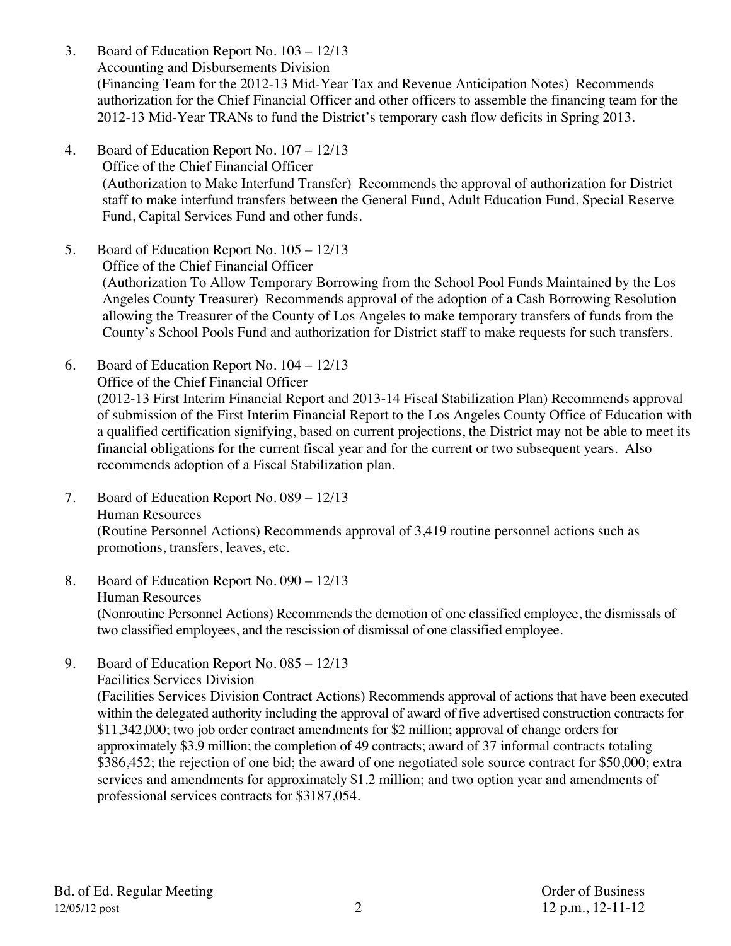- 3. Board of Education Report No. 103 12/13 Accounting and Disbursements Division (Financing Team for the 2012-13 Mid-Year Tax and Revenue Anticipation Notes) Recommends authorization for the Chief Financial Officer and other officers to assemble the financing team for the 2012-13 Mid-Year TRANs to fund the District's temporary cash flow deficits in Spring 2013.
- 4. Board of Education Report No. 107 12/13 Office of the Chief Financial Officer (Authorization to Make Interfund Transfer) Recommends the approval of authorization for District staff to make interfund transfers between the General Fund, Adult Education Fund, Special Reserve Fund, Capital Services Fund and other funds.
- 5. Board of Education Report No. 105 12/13 Office of the Chief Financial Officer (Authorization To Allow Temporary Borrowing from the School Pool Funds Maintained by the Los Angeles County Treasurer) Recommends approval of the adoption of a Cash Borrowing Resolution allowing the Treasurer of the County of Los Angeles to make temporary transfers of funds from the County's School Pools Fund and authorization for District staff to make requests for such transfers.
- 6. Board of Education Report No. 104 12/13 Office of the Chief Financial Officer (2012-13 First Interim Financial Report and 2013-14 Fiscal Stabilization Plan) Recommends approval of submission of the First Interim Financial Report to the Los Angeles County Office of Education with a qualified certification signifying, based on current projections, the District may not be able to meet its financial obligations for the current fiscal year and for the current or two subsequent years. Also recommends adoption of a Fiscal Stabilization plan.
- 7. Board of Education Report No. 089 12/13 Human Resources (Routine Personnel Actions) Recommends approval of 3,419 routine personnel actions such as promotions, transfers, leaves, etc.
- 8. Board of Education Report No. 090 12/13 Human Resources (Nonroutine Personnel Actions) Recommends the demotion of one classified employee, the dismissals of two classified employees, and the rescission of dismissal of one classified employee.
- 9. Board of Education Report No. 085 12/13 Facilities Services Division (Facilities Services Division Contract Actions) Recommends approval of actions that have been executed within the delegated authority including the approval of award of five advertised construction contracts for \$11,342,000; two job order contract amendments for \$2 million; approval of change orders for approximately \$3.9 million; the completion of 49 contracts; award of 37 informal contracts totaling \$386,452; the rejection of one bid; the award of one negotiated sole source contract for \$50,000; extra services and amendments for approximately \$1.2 million; and two option year and amendments of professional services contracts for \$3187,054.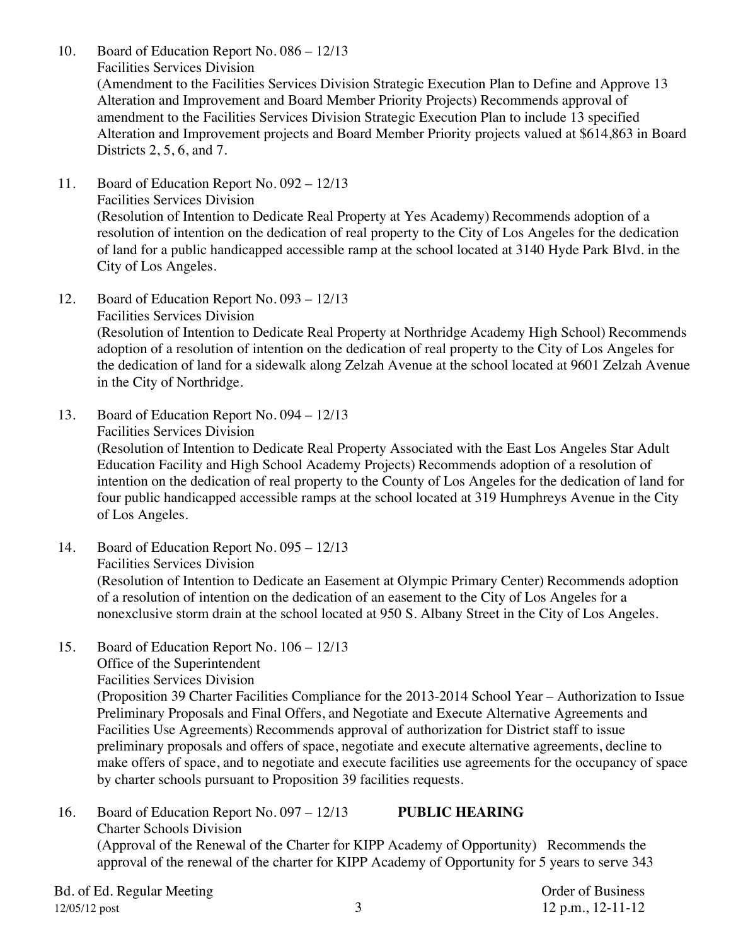- 10. Board of Education Report No. 086 12/13 Facilities Services Division (Amendment to the Facilities Services Division Strategic Execution Plan to Define and Approve 13 Alteration and Improvement and Board Member Priority Projects) Recommends approval of amendment to the Facilities Services Division Strategic Execution Plan to include 13 specified Alteration and Improvement projects and Board Member Priority projects valued at \$614,863 in Board Districts 2, 5, 6, and 7.
- 11. Board of Education Report No. 092 12/13 Facilities Services Division (Resolution of Intention to Dedicate Real Property at Yes Academy) Recommends adoption of a resolution of intention on the dedication of real property to the City of Los Angeles for the dedication of land for a public handicapped accessible ramp at the school located at 3140 Hyde Park Blvd. in the City of Los Angeles.
- 12. Board of Education Report No. 093 12/13 Facilities Services Division (Resolution of Intention to Dedicate Real Property at Northridge Academy High School) Recommends adoption of a resolution of intention on the dedication of real property to the City of Los Angeles for the dedication of land for a sidewalk along Zelzah Avenue at the school located at 9601 Zelzah Avenue in the City of Northridge.
- 13. Board of Education Report No. 094 12/13 Facilities Services Division (Resolution of Intention to Dedicate Real Property Associated with the East Los Angeles Star Adult Education Facility and High School Academy Projects) Recommends adoption of a resolution of intention on the dedication of real property to the County of Los Angeles for the dedication of land for four public handicapped accessible ramps at the school located at 319 Humphreys Avenue in the City of Los Angeles.
- 14. Board of Education Report No. 095 12/13 Facilities Services Division (Resolution of Intention to Dedicate an Easement at Olympic Primary Center) Recommends adoption of a resolution of intention on the dedication of an easement to the City of Los Angeles for a nonexclusive storm drain at the school located at 950 S. Albany Street in the City of Los Angeles.
- 15. Board of Education Report No. 106 12/13 Office of the Superintendent Facilities Services Division (Proposition 39 Charter Facilities Compliance for the 2013-2014 School Year – Authorization to Issue Preliminary Proposals and Final Offers, and Negotiate and Execute Alternative Agreements and Facilities Use Agreements) Recommends approval of authorization for District staff to issue preliminary proposals and offers of space, negotiate and execute alternative agreements, decline to make offers of space, and to negotiate and execute facilities use agreements for the occupancy of space by charter schools pursuant to Proposition 39 facilities requests.
- 16. Board of Education Report No. 097 12/13 **PUBLIC HEARING**  Charter Schools Division (Approval of the Renewal of the Charter for KIPP Academy of Opportunity) Recommends the approval of the renewal of the charter for KIPP Academy of Opportunity for 5 years to serve 343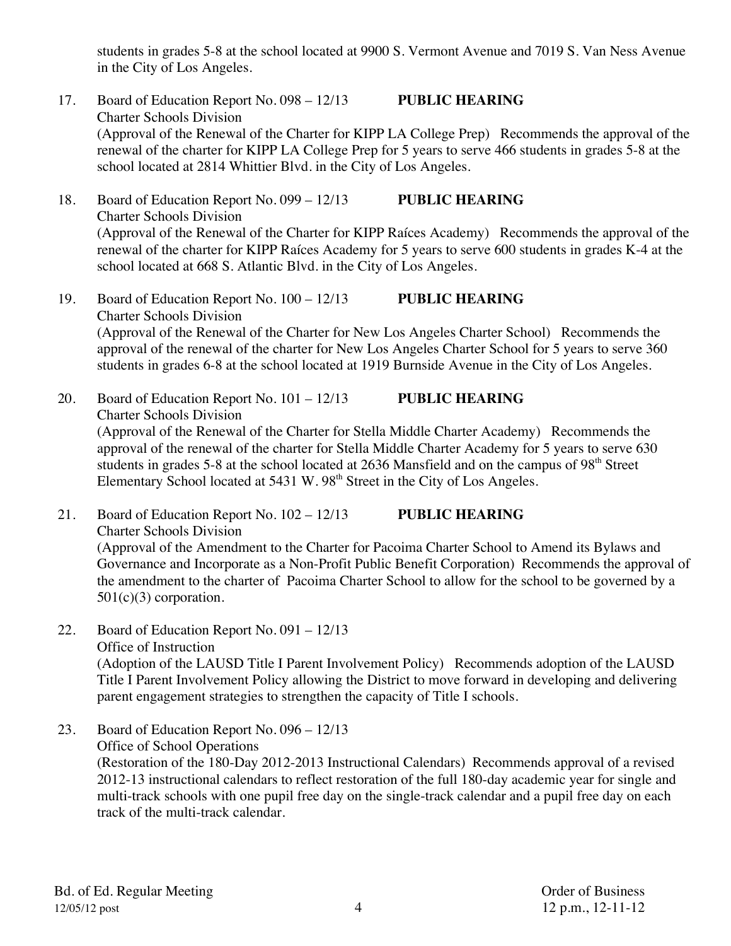students in grades 5-8 at the school located at 9900 S. Vermont Avenue and 7019 S. Van Ness Avenue in the City of Los Angeles.

- 17. Board of Education Report No. 098 12/13 **PUBLIC HEARING**  Charter Schools Division (Approval of the Renewal of the Charter for KIPP LA College Prep) Recommends the approval of the renewal of the charter for KIPP LA College Prep for 5 years to serve 466 students in grades 5-8 at the school located at 2814 Whittier Blvd. in the City of Los Angeles.
- 18. Board of Education Report No. 099 12/13 **PUBLIC HEARING**  Charter Schools Division (Approval of the Renewal of the Charter for KIPP Raíces Academy) Recommends the approval of the renewal of the charter for KIPP Raíces Academy for 5 years to serve 600 students in grades K-4 at the school located at 668 S. Atlantic Blvd. in the City of Los Angeles.
- 19. Board of Education Report No. 100 12/13 **PUBLIC HEARING**  Charter Schools Division (Approval of the Renewal of the Charter for New Los Angeles Charter School) Recommends the approval of the renewal of the charter for New Los Angeles Charter School for 5 years to serve 360 students in grades 6-8 at the school located at 1919 Burnside Avenue in the City of Los Angeles.
- 20. Board of Education Report No. 101 12/13 **PUBLIC HEARING**  Charter Schools Division (Approval of the Renewal of the Charter for Stella Middle Charter Academy) Recommends the approval of the renewal of the charter for Stella Middle Charter Academy for 5 years to serve 630 students in grades 5-8 at the school located at 2636 Mansfield and on the campus of  $98<sup>th</sup>$  Street Elementary School located at 5431 W. 98<sup>th</sup> Street in the City of Los Angeles.
- 21. Board of Education Report No. 102 12/13 **PUBLIC HEARING** Charter Schools Division (Approval of the Amendment to the Charter for Pacoima Charter School to Amend its Bylaws and Governance and Incorporate as a Non-Profit Public Benefit Corporation) Recommends the approval of the amendment to the charter of Pacoima Charter School to allow for the school to be governed by a  $501(c)(3)$  corporation.
- 22. Board of Education Report No. 091 12/13 Office of Instruction (Adoption of the LAUSD Title I Parent Involvement Policy) Recommends adoption of the LAUSD Title I Parent Involvement Policy allowing the District to move forward in developing and delivering parent engagement strategies to strengthen the capacity of Title I schools.
- 23. Board of Education Report No. 096 12/13 Office of School Operations (Restoration of the 180-Day 2012-2013 Instructional Calendars) Recommends approval of a revised 2012-13 instructional calendars to reflect restoration of the full 180-day academic year for single and multi-track schools with one pupil free day on the single-track calendar and a pupil free day on each track of the multi-track calendar.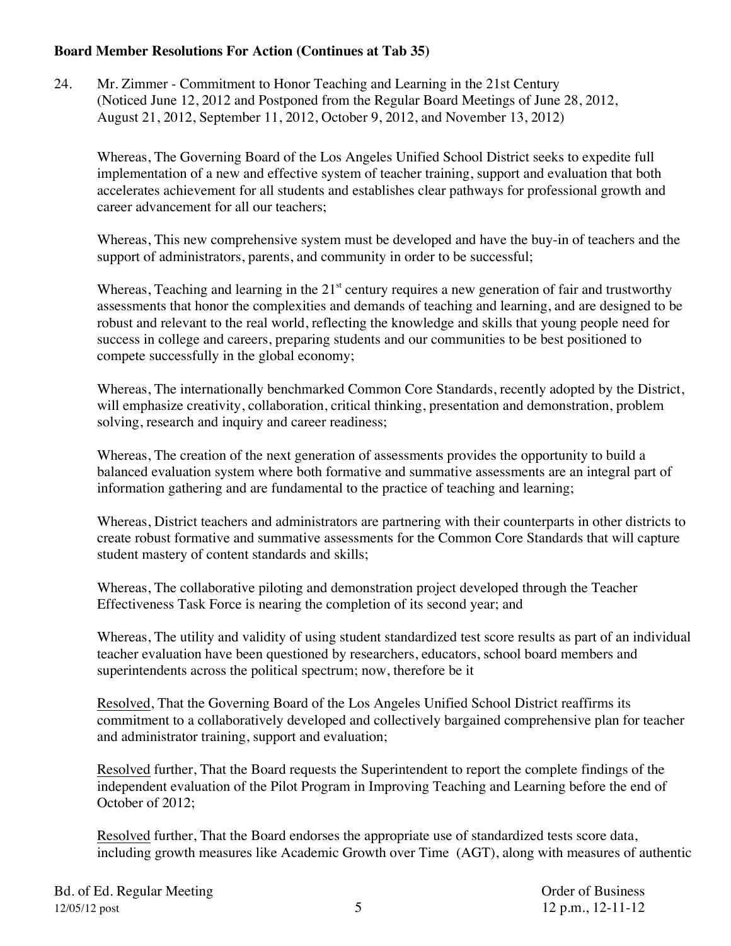## **Board Member Resolutions For Action (Continues at Tab 35)**

24. Mr. Zimmer - Commitment to Honor Teaching and Learning in the 21st Century (Noticed June 12, 2012 and Postponed from the Regular Board Meetings of June 28, 2012, August 21, 2012, September 11, 2012, October 9, 2012, and November 13, 2012)

Whereas, The Governing Board of the Los Angeles Unified School District seeks to expedite full implementation of a new and effective system of teacher training, support and evaluation that both accelerates achievement for all students and establishes clear pathways for professional growth and career advancement for all our teachers;

Whereas, This new comprehensive system must be developed and have the buy-in of teachers and the support of administrators, parents, and community in order to be successful;

Whereas, Teaching and learning in the  $21<sup>st</sup>$  century requires a new generation of fair and trustworthy assessments that honor the complexities and demands of teaching and learning, and are designed to be robust and relevant to the real world, reflecting the knowledge and skills that young people need for success in college and careers, preparing students and our communities to be best positioned to compete successfully in the global economy;

Whereas, The internationally benchmarked Common Core Standards, recently adopted by the District, will emphasize creativity, collaboration, critical thinking, presentation and demonstration, problem solving, research and inquiry and career readiness;

Whereas, The creation of the next generation of assessments provides the opportunity to build a balanced evaluation system where both formative and summative assessments are an integral part of information gathering and are fundamental to the practice of teaching and learning;

Whereas, District teachers and administrators are partnering with their counterparts in other districts to create robust formative and summative assessments for the Common Core Standards that will capture student mastery of content standards and skills;

Whereas, The collaborative piloting and demonstration project developed through the Teacher Effectiveness Task Force is nearing the completion of its second year; and

Whereas, The utility and validity of using student standardized test score results as part of an individual teacher evaluation have been questioned by researchers, educators, school board members and superintendents across the political spectrum; now, therefore be it

Resolved, That the Governing Board of the Los Angeles Unified School District reaffirms its commitment to a collaboratively developed and collectively bargained comprehensive plan for teacher and administrator training, support and evaluation;

Resolved further, That the Board requests the Superintendent to report the complete findings of the independent evaluation of the Pilot Program in Improving Teaching and Learning before the end of October of 2012;

Resolved further, That the Board endorses the appropriate use of standardized tests score data, including growth measures like Academic Growth over Time (AGT), along with measures of authentic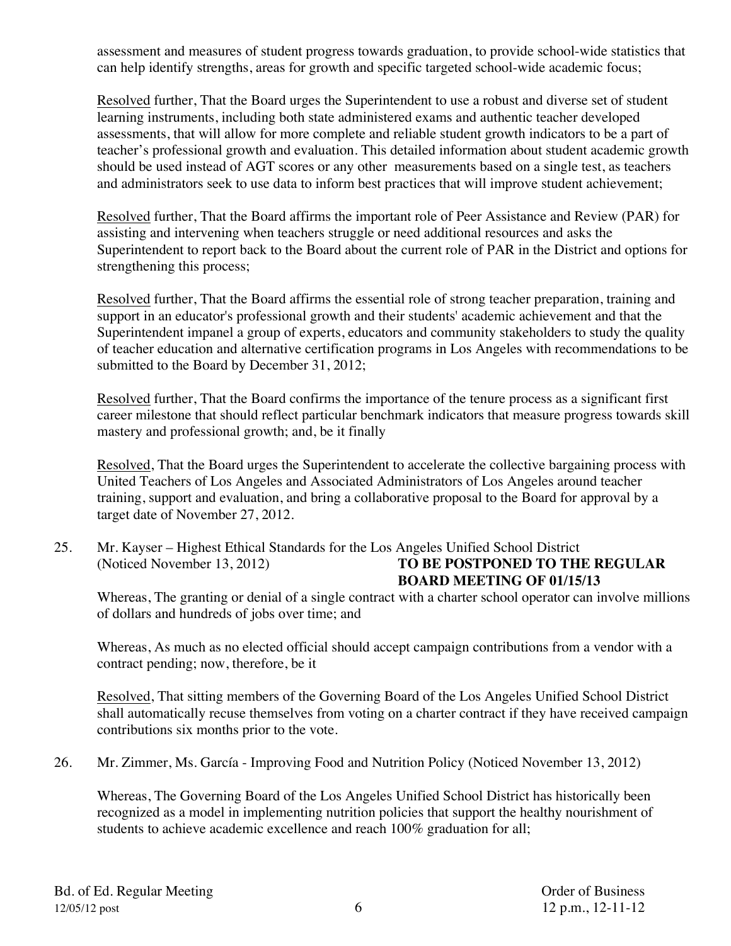assessment and measures of student progress towards graduation, to provide school-wide statistics that can help identify strengths, areas for growth and specific targeted school-wide academic focus;

Resolved further, That the Board urges the Superintendent to use a robust and diverse set of student learning instruments, including both state administered exams and authentic teacher developed assessments, that will allow for more complete and reliable student growth indicators to be a part of teacher's professional growth and evaluation. This detailed information about student academic growth should be used instead of AGT scores or any other measurements based on a single test, as teachers and administrators seek to use data to inform best practices that will improve student achievement;

Resolved further, That the Board affirms the important role of Peer Assistance and Review (PAR) for assisting and intervening when teachers struggle or need additional resources and asks the Superintendent to report back to the Board about the current role of PAR in the District and options for strengthening this process;

Resolved further, That the Board affirms the essential role of strong teacher preparation, training and support in an educator's professional growth and their students' academic achievement and that the Superintendent impanel a group of experts, educators and community stakeholders to study the quality of teacher education and alternative certification programs in Los Angeles with recommendations to be submitted to the Board by December 31, 2012;

Resolved further, That the Board confirms the importance of the tenure process as a significant first career milestone that should reflect particular benchmark indicators that measure progress towards skill mastery and professional growth; and, be it finally

Resolved, That the Board urges the Superintendent to accelerate the collective bargaining process with United Teachers of Los Angeles and Associated Administrators of Los Angeles around teacher training, support and evaluation, and bring a collaborative proposal to the Board for approval by a target date of November 27, 2012.

25. Mr. Kayser – Highest Ethical Standards for the Los Angeles Unified School District (Noticed November 13, 2012) **TO BE POSTPONED TO THE REGULAR** 

# **BOARD MEETING OF 01/15/13**

Whereas, The granting or denial of a single contract with a charter school operator can involve millions of dollars and hundreds of jobs over time; and

Whereas, As much as no elected official should accept campaign contributions from a vendor with a contract pending; now, therefore, be it

Resolved, That sitting members of the Governing Board of the Los Angeles Unified School District shall automatically recuse themselves from voting on a charter contract if they have received campaign contributions six months prior to the vote.

26. Mr. Zimmer, Ms. García - Improving Food and Nutrition Policy (Noticed November 13, 2012)

Whereas, The Governing Board of the Los Angeles Unified School District has historically been recognized as a model in implementing nutrition policies that support the healthy nourishment of students to achieve academic excellence and reach 100% graduation for all;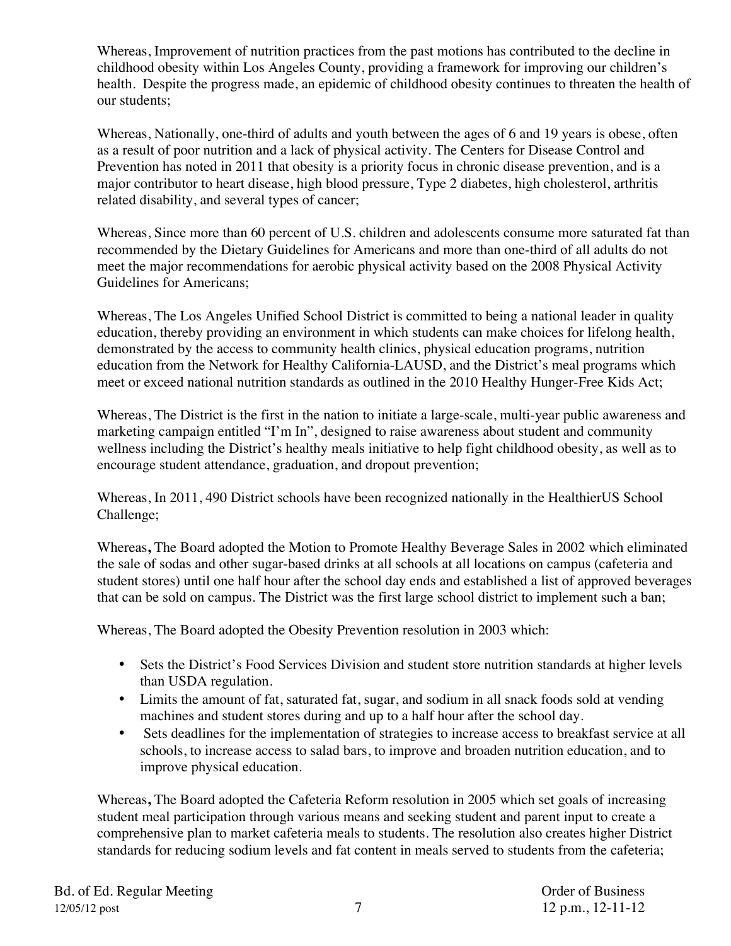Whereas, Improvement of nutrition practices from the past motions has contributed to the decline in childhood obesity within Los Angeles County, providing a framework for improving our children's health. Despite the progress made, an epidemic of childhood obesity continues to threaten the health of our students;

Whereas, Nationally, one-third of adults and youth between the ages of 6 and 19 years is obese, often as a result of poor nutrition and a lack of physical activity. The Centers for Disease Control and Prevention has noted in 2011 that obesity is a priority focus in chronic disease prevention, and is a major contributor to heart disease, high blood pressure, Type 2 diabetes, high cholesterol, arthritis related disability, and several types of cancer;

Whereas, Since more than 60 percent of U.S. children and adolescents consume more saturated fat than recommended by the Dietary Guidelines for Americans and more than one-third of all adults do not meet the major recommendations for aerobic physical activity based on the 2008 Physical Activity Guidelines for Americans;

Whereas, The Los Angeles Unified School District is committed to being a national leader in quality education, thereby providing an environment in which students can make choices for lifelong health, demonstrated by the access to community health clinics, physical education programs, nutrition education from the Network for Healthy California-LAUSD, and the District's meal programs which meet or exceed national nutrition standards as outlined in the 2010 Healthy Hunger-Free Kids Act;

Whereas, The District is the first in the nation to initiate a large-scale, multi-year public awareness and marketing campaign entitled "I'm In", designed to raise awareness about student and community wellness including the District's healthy meals initiative to help fight childhood obesity, as well as to encourage student attendance, graduation, and dropout prevention;

Whereas, In 2011, 490 District schools have been recognized nationally in the HealthierUS School Challenge;

Whereas**,** The Board adopted the Motion to Promote Healthy Beverage Sales in 2002 which eliminated the sale of sodas and other sugar-based drinks at all schools at all locations on campus (cafeteria and student stores) until one half hour after the school day ends and established a list of approved beverages that can be sold on campus. The District was the first large school district to implement such a ban;

Whereas, The Board adopted the Obesity Prevention resolution in 2003 which:

- Sets the District's Food Services Division and student store nutrition standards at higher levels than USDA regulation.
- Limits the amount of fat, saturated fat, sugar, and sodium in all snack foods sold at vending machines and student stores during and up to a half hour after the school day.
- Sets deadlines for the implementation of strategies to increase access to breakfast service at all schools, to increase access to salad bars, to improve and broaden nutrition education, and to improve physical education.

Whereas**,** The Board adopted the Cafeteria Reform resolution in 2005 which set goals of increasing student meal participation through various means and seeking student and parent input to create a comprehensive plan to market cafeteria meals to students. The resolution also creates higher District standards for reducing sodium levels and fat content in meals served to students from the cafeteria;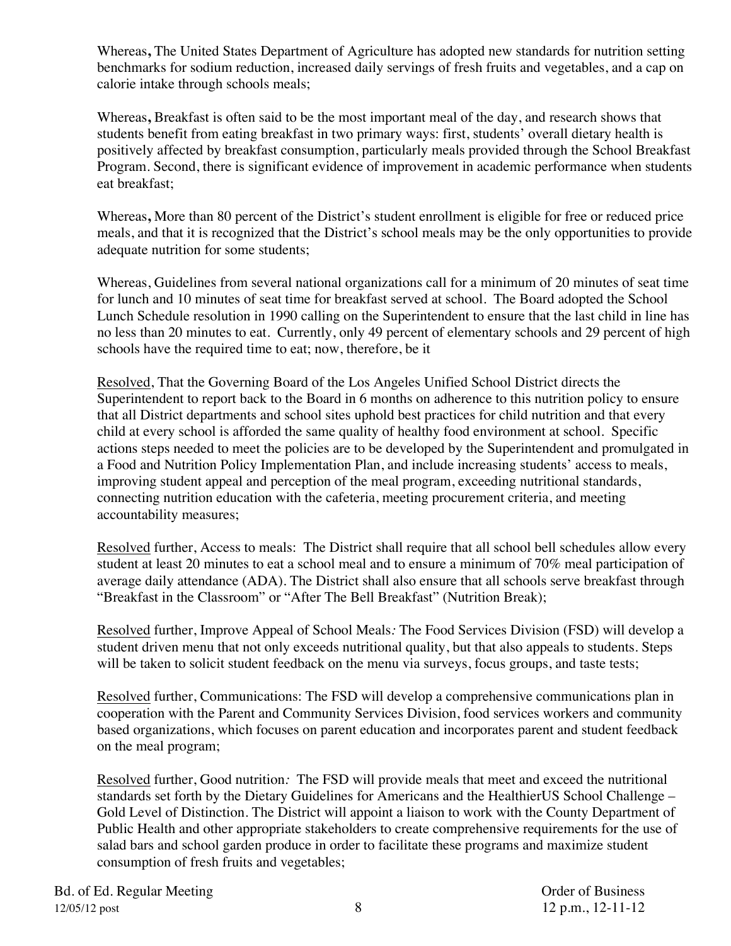Whereas**,** The United States Department of Agriculture has adopted new standards for nutrition setting benchmarks for sodium reduction, increased daily servings of fresh fruits and vegetables, and a cap on calorie intake through schools meals;

Whereas**,** Breakfast is often said to be the most important meal of the day, and research shows that students benefit from eating breakfast in two primary ways: first, students' overall dietary health is positively affected by breakfast consumption, particularly meals provided through the School Breakfast Program. Second, there is significant evidence of improvement in academic performance when students eat breakfast;

Whereas**,** More than 80 percent of the District's student enrollment is eligible for free or reduced price meals, and that it is recognized that the District's school meals may be the only opportunities to provide adequate nutrition for some students;

Whereas, Guidelines from several national organizations call for a minimum of 20 minutes of seat time for lunch and 10 minutes of seat time for breakfast served at school. The Board adopted the School Lunch Schedule resolution in 1990 calling on the Superintendent to ensure that the last child in line has no less than 20 minutes to eat. Currently, only 49 percent of elementary schools and 29 percent of high schools have the required time to eat; now, therefore, be it

Resolved, That the Governing Board of the Los Angeles Unified School District directs the Superintendent to report back to the Board in 6 months on adherence to this nutrition policy to ensure that all District departments and school sites uphold best practices for child nutrition and that every child at every school is afforded the same quality of healthy food environment at school. Specific actions steps needed to meet the policies are to be developed by the Superintendent and promulgated in a Food and Nutrition Policy Implementation Plan, and include increasing students' access to meals, improving student appeal and perception of the meal program, exceeding nutritional standards, connecting nutrition education with the cafeteria, meeting procurement criteria, and meeting accountability measures;

Resolved further, Access to meals: The District shall require that all school bell schedules allow every student at least 20 minutes to eat a school meal and to ensure a minimum of 70% meal participation of average daily attendance (ADA). The District shall also ensure that all schools serve breakfast through "Breakfast in the Classroom" or "After The Bell Breakfast" (Nutrition Break);

Resolved further, Improve Appeal of School Meals*:* The Food Services Division (FSD) will develop a student driven menu that not only exceeds nutritional quality, but that also appeals to students. Steps will be taken to solicit student feedback on the menu via surveys, focus groups, and taste tests;

Resolved further, Communications: The FSD will develop a comprehensive communications plan in cooperation with the Parent and Community Services Division, food services workers and community based organizations, which focuses on parent education and incorporates parent and student feedback on the meal program;

Resolved further, Good nutrition*:* The FSD will provide meals that meet and exceed the nutritional standards set forth by the Dietary Guidelines for Americans and the HealthierUS School Challenge – Gold Level of Distinction. The District will appoint a liaison to work with the County Department of Public Health and other appropriate stakeholders to create comprehensive requirements for the use of salad bars and school garden produce in order to facilitate these programs and maximize student consumption of fresh fruits and vegetables;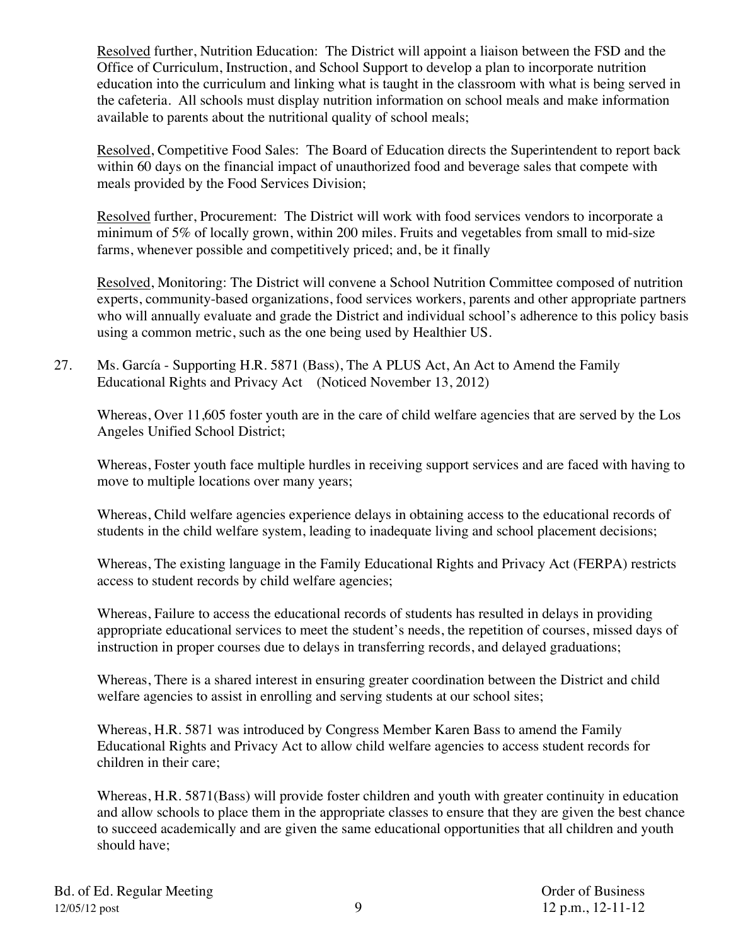Resolved further, Nutrition Education: The District will appoint a liaison between the FSD and the Office of Curriculum, Instruction, and School Support to develop a plan to incorporate nutrition education into the curriculum and linking what is taught in the classroom with what is being served in the cafeteria. All schools must display nutrition information on school meals and make information available to parents about the nutritional quality of school meals;

Resolved, Competitive Food Sales: The Board of Education directs the Superintendent to report back within 60 days on the financial impact of unauthorized food and beverage sales that compete with meals provided by the Food Services Division;

Resolved further, Procurement: The District will work with food services vendors to incorporate a minimum of 5% of locally grown, within 200 miles. Fruits and vegetables from small to mid-size farms, whenever possible and competitively priced; and, be it finally

Resolved, Monitoring: The District will convene a School Nutrition Committee composed of nutrition experts, community-based organizations, food services workers, parents and other appropriate partners who will annually evaluate and grade the District and individual school's adherence to this policy basis using a common metric, such as the one being used by Healthier US.

27. Ms. García - Supporting H.R. 5871 (Bass), The A PLUS Act, An Act to Amend the Family Educational Rights and Privacy Act (Noticed November 13, 2012)

Whereas, Over 11,605 foster youth are in the care of child welfare agencies that are served by the Los Angeles Unified School District;

Whereas, Foster youth face multiple hurdles in receiving support services and are faced with having to move to multiple locations over many years;

Whereas, Child welfare agencies experience delays in obtaining access to the educational records of students in the child welfare system, leading to inadequate living and school placement decisions;

Whereas, The existing language in the Family Educational Rights and Privacy Act (FERPA) restricts access to student records by child welfare agencies;

Whereas, Failure to access the educational records of students has resulted in delays in providing appropriate educational services to meet the student's needs, the repetition of courses, missed days of instruction in proper courses due to delays in transferring records, and delayed graduations;

Whereas, There is a shared interest in ensuring greater coordination between the District and child welfare agencies to assist in enrolling and serving students at our school sites;

Whereas, H.R. 5871 was introduced by Congress Member Karen Bass to amend the Family Educational Rights and Privacy Act to allow child welfare agencies to access student records for children in their care;

Whereas, H.R. 5871(Bass) will provide foster children and youth with greater continuity in education and allow schools to place them in the appropriate classes to ensure that they are given the best chance to succeed academically and are given the same educational opportunities that all children and youth should have;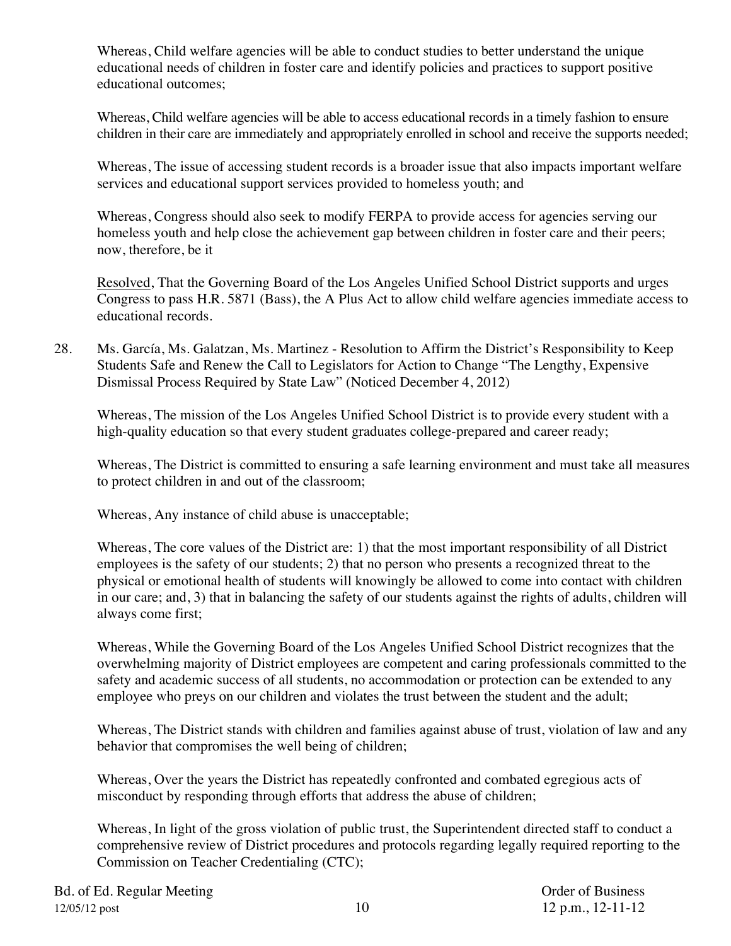Whereas, Child welfare agencies will be able to conduct studies to better understand the unique educational needs of children in foster care and identify policies and practices to support positive educational outcomes;

Whereas, Child welfare agencies will be able to access educational records in a timely fashion to ensure children in their care are immediately and appropriately enrolled in school and receive the supports needed;

Whereas, The issue of accessing student records is a broader issue that also impacts important welfare services and educational support services provided to homeless youth; and

Whereas, Congress should also seek to modify FERPA to provide access for agencies serving our homeless youth and help close the achievement gap between children in foster care and their peers; now, therefore, be it

Resolved, That the Governing Board of the Los Angeles Unified School District supports and urges Congress to pass H.R. 5871 (Bass), the A Plus Act to allow child welfare agencies immediate access to educational records.

28. Ms. García, Ms. Galatzan, Ms. Martinez - Resolution to Affirm the District's Responsibility to Keep Students Safe and Renew the Call to Legislators for Action to Change "The Lengthy, Expensive Dismissal Process Required by State Law" (Noticed December 4, 2012)

Whereas, The mission of the Los Angeles Unified School District is to provide every student with a high-quality education so that every student graduates college-prepared and career ready;

Whereas, The District is committed to ensuring a safe learning environment and must take all measures to protect children in and out of the classroom;

Whereas, Any instance of child abuse is unacceptable;

Whereas, The core values of the District are: 1) that the most important responsibility of all District employees is the safety of our students; 2) that no person who presents a recognized threat to the physical or emotional health of students will knowingly be allowed to come into contact with children in our care; and, 3) that in balancing the safety of our students against the rights of adults, children will always come first;

Whereas, While the Governing Board of the Los Angeles Unified School District recognizes that the overwhelming majority of District employees are competent and caring professionals committed to the safety and academic success of all students, no accommodation or protection can be extended to any employee who preys on our children and violates the trust between the student and the adult;

Whereas, The District stands with children and families against abuse of trust, violation of law and any behavior that compromises the well being of children;

Whereas, Over the years the District has repeatedly confronted and combated egregious acts of misconduct by responding through efforts that address the abuse of children;

Whereas, In light of the gross violation of public trust, the Superintendent directed staff to conduct a comprehensive review of District procedures and protocols regarding legally required reporting to the Commission on Teacher Credentialing (CTC);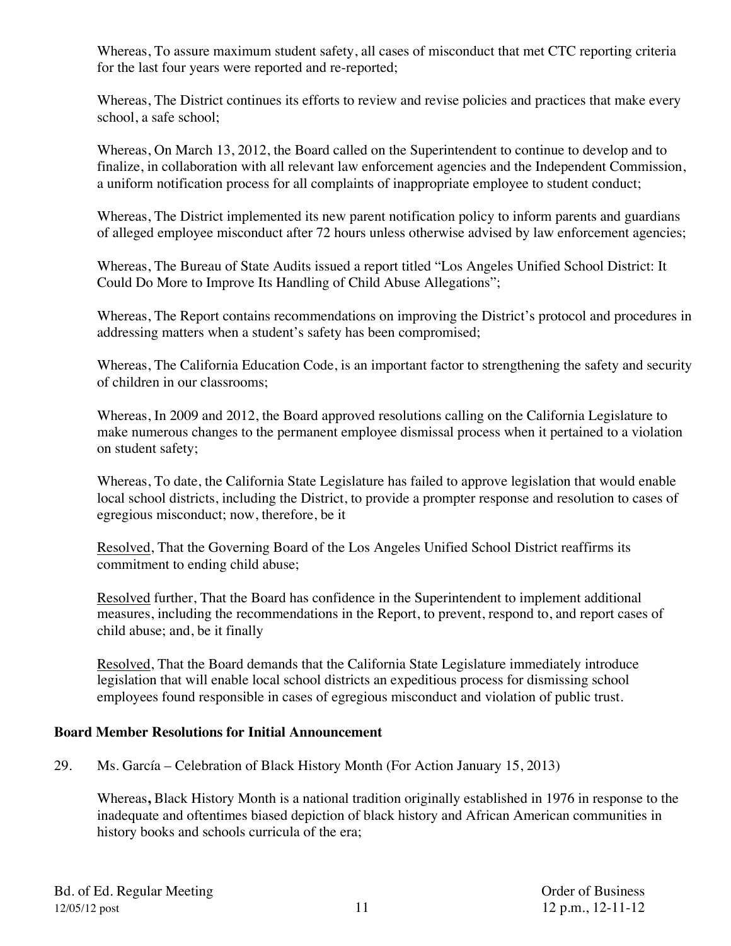Whereas, To assure maximum student safety, all cases of misconduct that met CTC reporting criteria for the last four years were reported and re-reported;

Whereas, The District continues its efforts to review and revise policies and practices that make every school, a safe school;

Whereas, On March 13, 2012, the Board called on the Superintendent to continue to develop and to finalize, in collaboration with all relevant law enforcement agencies and the Independent Commission, a uniform notification process for all complaints of inappropriate employee to student conduct;

Whereas, The District implemented its new parent notification policy to inform parents and guardians of alleged employee misconduct after 72 hours unless otherwise advised by law enforcement agencies;

Whereas, The Bureau of State Audits issued a report titled "Los Angeles Unified School District: It Could Do More to Improve Its Handling of Child Abuse Allegations";

Whereas, The Report contains recommendations on improving the District's protocol and procedures in addressing matters when a student's safety has been compromised;

Whereas, The California Education Code, is an important factor to strengthening the safety and security of children in our classrooms;

Whereas, In 2009 and 2012, the Board approved resolutions calling on the California Legislature to make numerous changes to the permanent employee dismissal process when it pertained to a violation on student safety;

Whereas, To date, the California State Legislature has failed to approve legislation that would enable local school districts, including the District, to provide a prompter response and resolution to cases of egregious misconduct; now, therefore, be it

Resolved, That the Governing Board of the Los Angeles Unified School District reaffirms its commitment to ending child abuse;

Resolved further, That the Board has confidence in the Superintendent to implement additional measures, including the recommendations in the Report, to prevent, respond to, and report cases of child abuse; and, be it finally

Resolved, That the Board demands that the California State Legislature immediately introduce legislation that will enable local school districts an expeditious process for dismissing school employees found responsible in cases of egregious misconduct and violation of public trust.

## **Board Member Resolutions for Initial Announcement**

29. Ms. García – Celebration of Black History Month (For Action January 15, 2013)

Whereas**,** Black History Month is a national tradition originally established in 1976 in response to the inadequate and oftentimes biased depiction of black history and African American communities in history books and schools curricula of the era;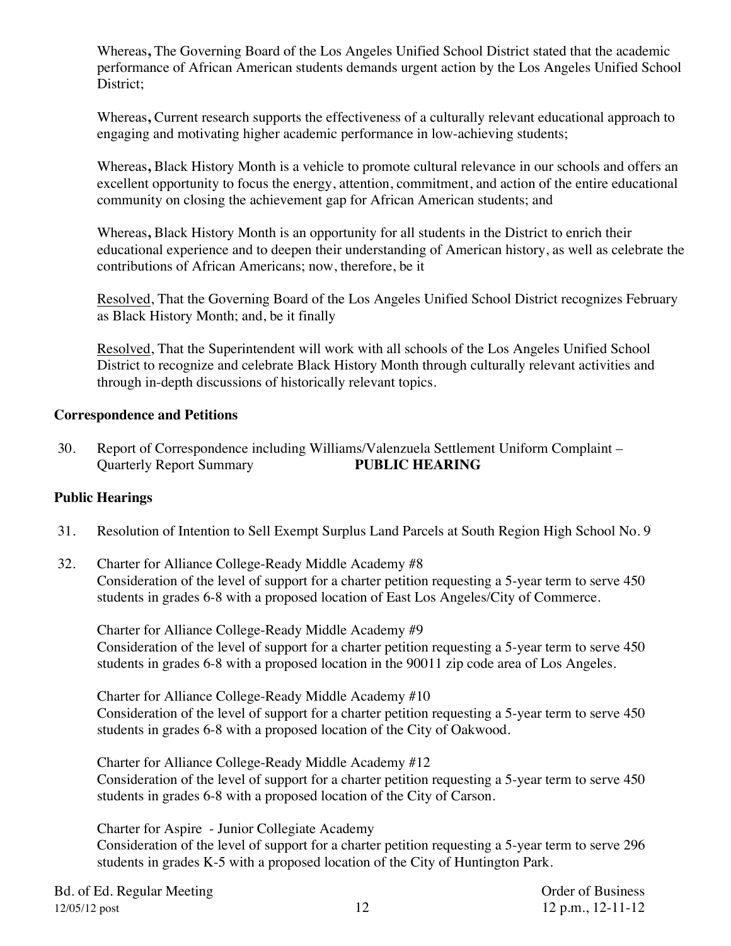Whereas**,** The Governing Board of the Los Angeles Unified School District stated that the academic performance of African American students demands urgent action by the Los Angeles Unified School District;

Whereas**,** Current research supports the effectiveness of a culturally relevant educational approach to engaging and motivating higher academic performance in low-achieving students;

Whereas**,** Black History Month is a vehicle to promote cultural relevance in our schools and offers an excellent opportunity to focus the energy, attention, commitment, and action of the entire educational community on closing the achievement gap for African American students; and

Whereas**,** Black History Month is an opportunity for all students in the District to enrich their educational experience and to deepen their understanding of American history, as well as celebrate the contributions of African Americans; now, therefore, be it

Resolved, That the Governing Board of the Los Angeles Unified School District recognizes February as Black History Month; and, be it finally

Resolved, That the Superintendent will work with all schools of the Los Angeles Unified School District to recognize and celebrate Black History Month through culturally relevant activities and through in-depth discussions of historically relevant topics.

#### **Correspondence and Petitions**

30. Report of Correspondence including Williams/Valenzuela Settlement Uniform Complaint – Quarterly Report Summary **PUBLIC HEARING**

## **Public Hearings**

- 31. Resolution of Intention to Sell Exempt Surplus Land Parcels at South Region High School No. 9
- 32. Charter for Alliance College-Ready Middle Academy #8 Consideration of the level of support for a charter petition requesting a 5-year term to serve 450 students in grades 6-8 with a proposed location of East Los Angeles/City of Commerce.

Charter for Alliance College-Ready Middle Academy #9 Consideration of the level of support for a charter petition requesting a 5-year term to serve 450 students in grades 6-8 with a proposed location in the 90011 zip code area of Los Angeles.

Charter for Alliance College-Ready Middle Academy #10 Consideration of the level of support for a charter petition requesting a 5-year term to serve 450 students in grades 6-8 with a proposed location of the City of Oakwood.

Charter for Alliance College-Ready Middle Academy #12 Consideration of the level of support for a charter petition requesting a 5-year term to serve 450 students in grades 6-8 with a proposed location of the City of Carson.

Charter for Aspire - Junior Collegiate Academy Consideration of the level of support for a charter petition requesting a 5-year term to serve 296 students in grades K-5 with a proposed location of the City of Huntington Park.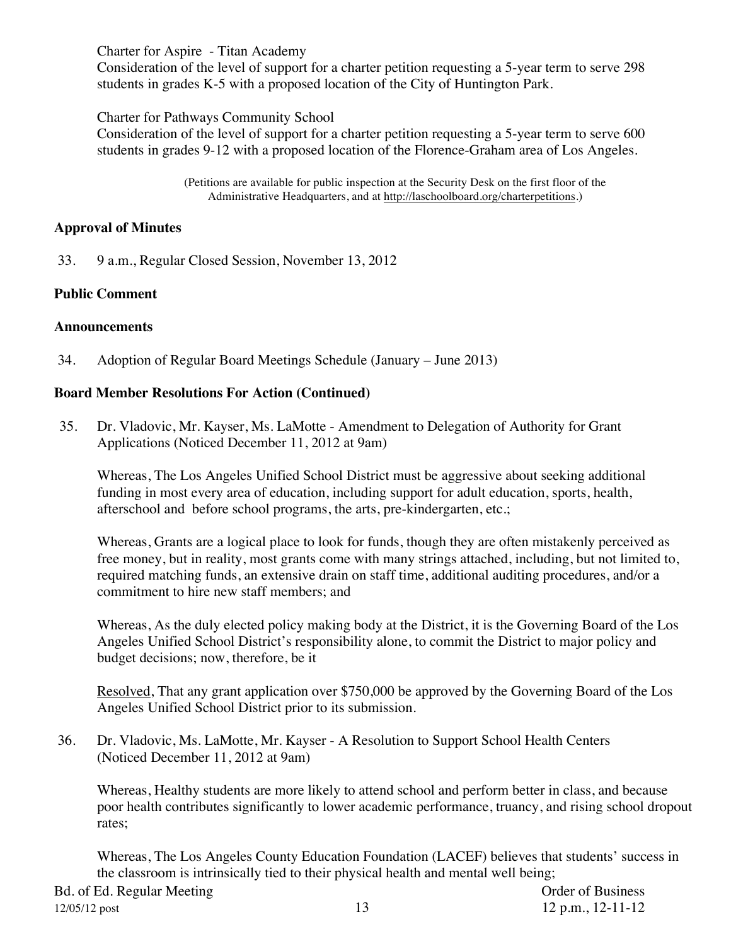Charter for Aspire - Titan Academy

Consideration of the level of support for a charter petition requesting a 5-year term to serve 298 students in grades K-5 with a proposed location of the City of Huntington Park.

Charter for Pathways Community School

Consideration of the level of support for a charter petition requesting a 5-year term to serve 600 students in grades 9-12 with a proposed location of the Florence-Graham area of Los Angeles.

> (Petitions are available for public inspection at the Security Desk on the first floor of the Administrative Headquarters, and at http://laschoolboard.org/charterpetitions.)

## **Approval of Minutes**

33. 9 a.m., Regular Closed Session, November 13, 2012

#### **Public Comment**

#### **Announcements**

34. Adoption of Regular Board Meetings Schedule (January – June 2013)

#### **Board Member Resolutions For Action (Continued)**

35. Dr. Vladovic, Mr. Kayser, Ms. LaMotte - Amendment to Delegation of Authority for Grant Applications (Noticed December 11, 2012 at 9am)

Whereas, The Los Angeles Unified School District must be aggressive about seeking additional funding in most every area of education, including support for adult education, sports, health, afterschool and before school programs, the arts, pre-kindergarten, etc.;

Whereas, Grants are a logical place to look for funds, though they are often mistakenly perceived as free money, but in reality, most grants come with many strings attached, including, but not limited to, required matching funds, an extensive drain on staff time, additional auditing procedures, and/or a commitment to hire new staff members; and

Whereas, As the duly elected policy making body at the District, it is the Governing Board of the Los Angeles Unified School District's responsibility alone, to commit the District to major policy and budget decisions; now, therefore, be it

Resolved, That any grant application over \$750,000 be approved by the Governing Board of the Los Angeles Unified School District prior to its submission.

36. Dr. Vladovic, Ms. LaMotte, Mr. Kayser - A Resolution to Support School Health Centers (Noticed December 11, 2012 at 9am)

Whereas, Healthy students are more likely to attend school and perform better in class, and because poor health contributes significantly to lower academic performance, truancy, and rising school dropout rates;

Whereas, The Los Angeles County Education Foundation (LACEF) believes that students' success in the classroom is intrinsically tied to their physical health and mental well being;

Bd. of Ed. Regular Meeting Communication Communication Communication Communication Communication Communication 12/05/12 post 13 12 p.m., 12-11-12